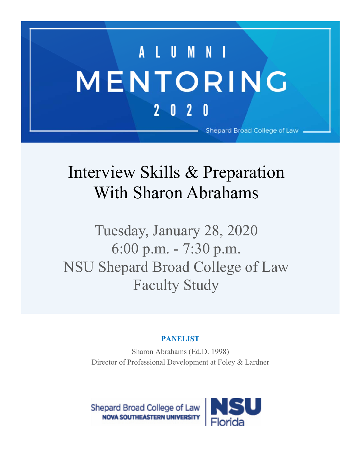## A L U M N I MENTORING  $2 0 2 0$ Shepard Broad College of Law

## Interview Skills & Preparation With Sharon Abrahams

Tuesday, January 28, 2020 6:00 p.m. - 7:30 p.m. NSU Shepard Broad College of Law Faculty Study

## **PANELIST**

Sharon Abrahams (Ed.D. 1998) Director of Professional Development at Foley & Lardner

Shepard Broad College of Law **NOVA SOUTHEASTERN UNIVERSITY**